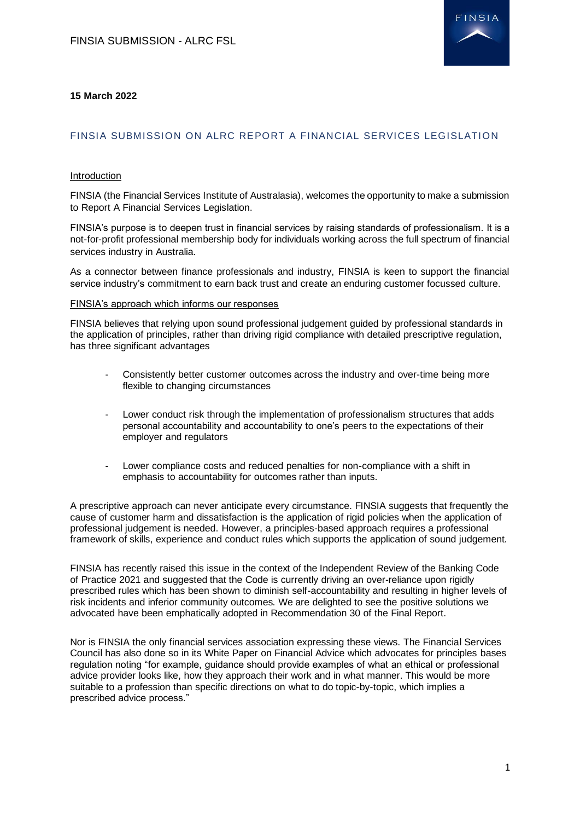

# **15 March 2022**

# FINSIA SUBMISSION ON ALRC REPORT A FINANCIAL SERVICES LEGISLATION

### Introduction

FINSIA (the Financial Services Institute of Australasia), welcomes the opportunity to make a submission to Report A Financial Services Legislation.

FINSIA's purpose is to deepen trust in financial services by raising standards of professionalism. It is a not-for-profit professional membership body for individuals working across the full spectrum of financial services industry in Australia.

As a connector between finance professionals and industry, FINSIA is keen to support the financial service industry's commitment to earn back trust and create an enduring customer focussed culture.

#### FINSIA's approach which informs our responses

FINSIA believes that relying upon sound professional judgement guided by professional standards in the application of principles, rather than driving rigid compliance with detailed prescriptive regulation, has three significant advantages

- Consistently better customer outcomes across the industry and over-time being more flexible to changing circumstances
- Lower conduct risk through the implementation of professionalism structures that adds personal accountability and accountability to one's peers to the expectations of their employer and regulators
- Lower compliance costs and reduced penalties for non-compliance with a shift in emphasis to accountability for outcomes rather than inputs.

A prescriptive approach can never anticipate every circumstance. FINSIA suggests that frequently the cause of customer harm and dissatisfaction is the application of rigid policies when the application of professional judgement is needed. However, a principles-based approach requires a professional framework of skills, experience and conduct rules which supports the application of sound judgement.

FINSIA has recently raised this issue in the context of the Independent Review of the Banking Code of Practice 2021 and suggested that the Code is currently driving an over-reliance upon rigidly prescribed rules which has been shown to diminish self-accountability and resulting in higher levels of risk incidents and inferior community outcomes. We are delighted to see the positive solutions we advocated have been emphatically adopted in Recommendation 30 of the Final Report.

Nor is FINSIA the only financial services association expressing these views. The Financial Services Council has also done so in its White Paper on Financial Advice which advocates for principles bases regulation noting "for example, guidance should provide examples of what an ethical or professional advice provider looks like, how they approach their work and in what manner. This would be more suitable to a profession than specific directions on what to do topic-by-topic, which implies a prescribed advice process."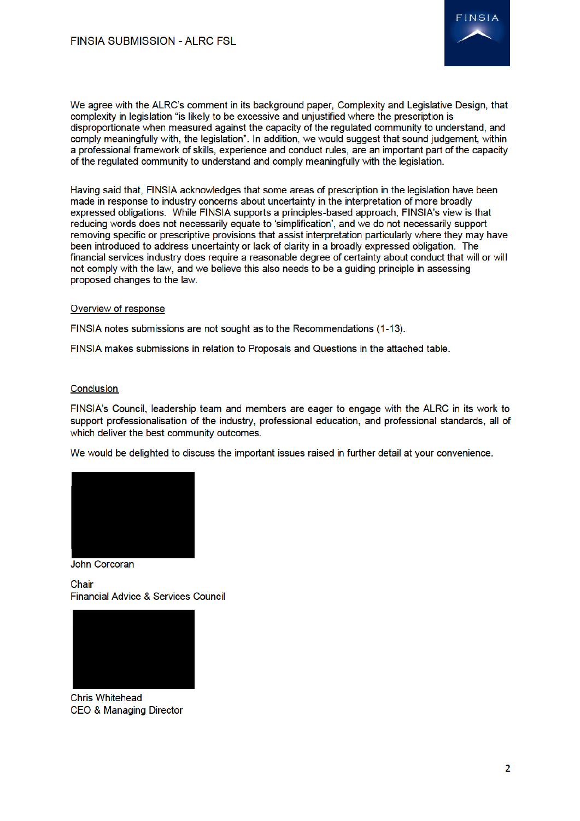

We agree with the ALRC's comment in its background paper. Complexity and Legislative Design, that complexity in legislation "is likely to be excessive and unjustified where the prescription is disproportionate when measured against the capacity of the regulated community to understand, and comply meaningfully with, the legislation". In addition, we would suggest that sound judgement, within a professional framework of skills, experience and conduct rules, are an important part of the capacity of the regulated community to understand and comply meaningfully with the legislation.

Having said that. FINSIA acknowledges that some areas of prescription in the legislation have been made in response to industry concerns about uncertainty in the interpretation of more broadly expressed obligations. While FINSIA supports a principles-based approach, FINSIA's view is that reducing words does not necessarily equate to 'simplification', and we do not necessarily support removing specific or prescriptive provisions that assist interpretation particularly where they may have been introduced to address uncertainty or lack of clarity in a broadly expressed obligation. The financial services industry does require a reasonable degree of certainty about conduct that will or will not comply with the law, and we believe this also needs to be a quiding principle in assessing proposed changes to the law.

### Overview of response

FINSIA notes submissions are not sought as to the Recommendations (1-13).

FINSIA makes submissions in relation to Proposals and Questions in the attached table.

## Conclusion

FINSIA's Council, leadership team and members are eager to engage with the ALRC in its work to support professionalisation of the industry, professional education, and professional standards, all of which deliver the best community outcomes.

We would be delighted to discuss the important issues raised in further detail at your convenience.



**John Corcoran** 

Chair **Financial Advice & Services Council** 



**Chris Whitehead** CEO & Managing Director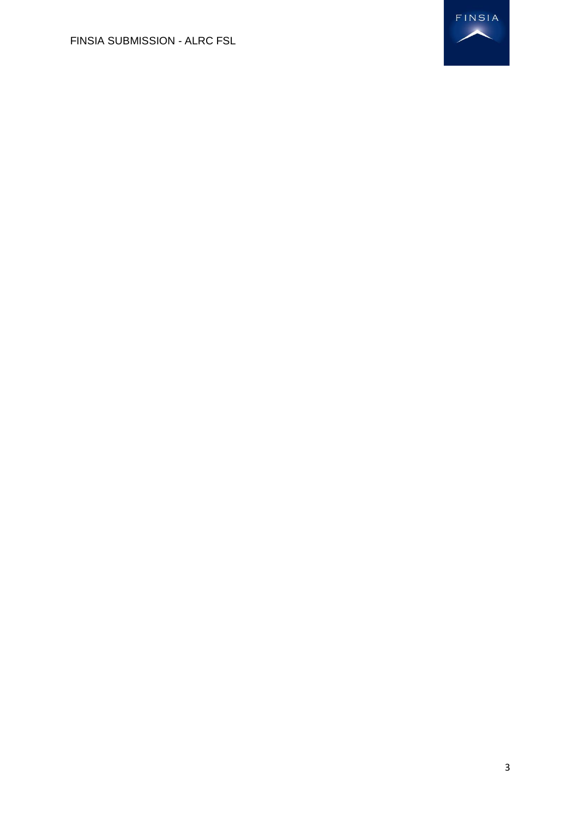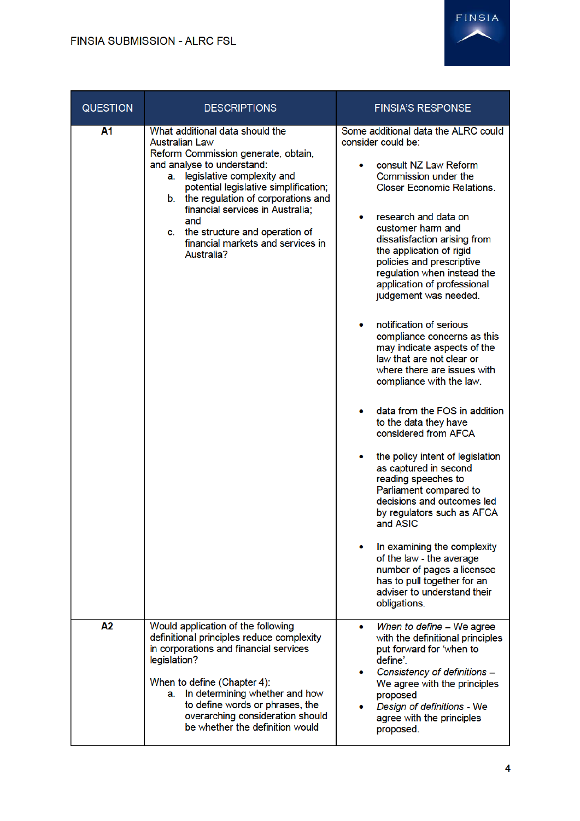

| <b>QUESTION</b> | <b>DESCRIPTIONS</b>                                                                                                                                                                                                                                                                                                                                                                    | <b>FINSIA'S RESPONSE</b>                                                                                                                                                                                                                                                                                                                                                                                                                                                                                                                                                                                                                                                                                                                                                                                                                                                                                                                                                                                     |
|-----------------|----------------------------------------------------------------------------------------------------------------------------------------------------------------------------------------------------------------------------------------------------------------------------------------------------------------------------------------------------------------------------------------|--------------------------------------------------------------------------------------------------------------------------------------------------------------------------------------------------------------------------------------------------------------------------------------------------------------------------------------------------------------------------------------------------------------------------------------------------------------------------------------------------------------------------------------------------------------------------------------------------------------------------------------------------------------------------------------------------------------------------------------------------------------------------------------------------------------------------------------------------------------------------------------------------------------------------------------------------------------------------------------------------------------|
| A1              | What additional data should the<br><b>Australian Law</b><br>Reform Commission generate, obtain,<br>and analyse to understand:<br>a. legislative complexity and<br>potential legislative simplification;<br>the regulation of corporations and<br>b.<br>financial services in Australia;<br>and<br>c. the structure and operation of<br>financial markets and services in<br>Australia? | Some additional data the ALRC could<br>consider could be:<br>consult NZ Law Reform<br>Commission under the<br><b>Closer Economic Relations.</b><br>research and data on<br>customer harm and<br>dissatisfaction arising from<br>the application of rigid<br>policies and prescriptive<br>regulation when instead the<br>application of professional<br>judgement was needed.<br>notification of serious<br>compliance concerns as this<br>may indicate aspects of the<br>law that are not clear or<br>where there are issues with<br>compliance with the law.<br>data from the FOS in addition<br>to the data they have<br>considered from AFCA<br>the policy intent of legislation<br>as captured in second<br>reading speeches to<br>Parliament compared to<br>decisions and outcomes led<br>by regulators such as AFCA<br>and ASIC<br>In examining the complexity<br>of the law - the average<br>number of pages a licensee<br>has to pull together for an<br>adviser to understand their<br>obligations. |
| A2              | Would application of the following<br>definitional principles reduce complexity<br>in corporations and financial services<br>legislation?<br>When to define (Chapter 4):<br>a. In determining whether and how<br>to define words or phrases, the<br>overarching consideration should<br>be whether the definition would                                                                | When to define - We agree<br>$\bullet$<br>with the definitional principles<br>put forward for 'when to<br>define'.<br>Consistency of definitions -<br>We agree with the principles<br>proposed<br>Design of definitions - We<br>agree with the principles<br>proposed.                                                                                                                                                                                                                                                                                                                                                                                                                                                                                                                                                                                                                                                                                                                                       |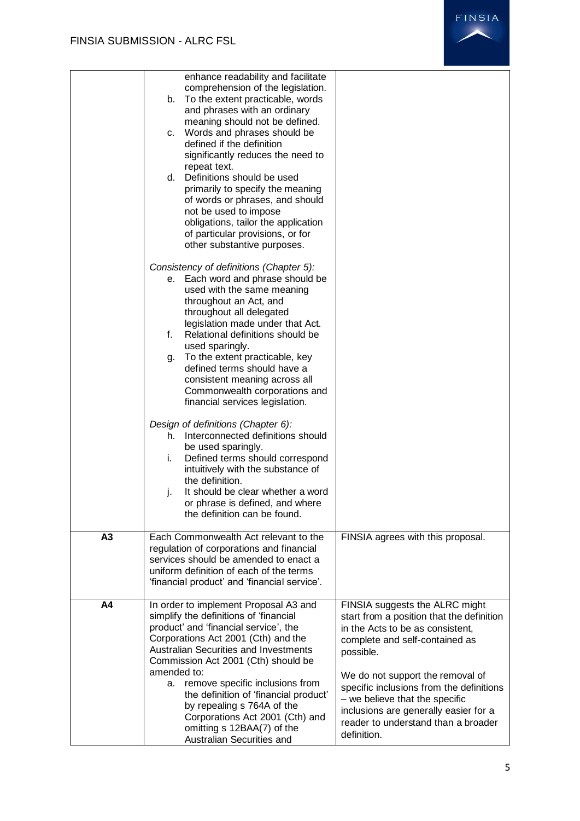

|    | enhance readability and facilitate<br>comprehension of the legislation.<br>To the extent practicable, words<br>b.<br>and phrases with an ordinary<br>meaning should not be defined.<br>Words and phrases should be<br>C.<br>defined if the definition<br>significantly reduces the need to<br>repeat text.<br>Definitions should be used<br>d.<br>primarily to specify the meaning<br>of words or phrases, and should<br>not be used to impose<br>obligations, tailor the application<br>of particular provisions, or for<br>other substantive purposes.<br>Consistency of definitions (Chapter 5):<br>e. Each word and phrase should be<br>used with the same meaning<br>throughout an Act, and<br>throughout all delegated<br>legislation made under that Act.<br>f.<br>Relational definitions should be<br>used sparingly.<br>To the extent practicable, key<br>g.<br>defined terms should have a<br>consistent meaning across all<br>Commonwealth corporations and<br>financial services legislation.<br>Design of definitions (Chapter 6):<br>h. Interconnected definitions should<br>be used sparingly.<br>Defined terms should correspond<br>i.<br>intuitively with the substance of<br>the definition.<br>It should be clear whether a word<br>j.<br>or phrase is defined, and where<br>the definition can be found. |                                                                                                                                                                                                                                                                                                                                                                                 |
|----|------------------------------------------------------------------------------------------------------------------------------------------------------------------------------------------------------------------------------------------------------------------------------------------------------------------------------------------------------------------------------------------------------------------------------------------------------------------------------------------------------------------------------------------------------------------------------------------------------------------------------------------------------------------------------------------------------------------------------------------------------------------------------------------------------------------------------------------------------------------------------------------------------------------------------------------------------------------------------------------------------------------------------------------------------------------------------------------------------------------------------------------------------------------------------------------------------------------------------------------------------------------------------------------------------------------------------|---------------------------------------------------------------------------------------------------------------------------------------------------------------------------------------------------------------------------------------------------------------------------------------------------------------------------------------------------------------------------------|
| A3 | Each Commonwealth Act relevant to the<br>regulation of corporations and financial<br>services should be amended to enact a<br>uniform definition of each of the terms<br>'financial product' and 'financial service'.                                                                                                                                                                                                                                                                                                                                                                                                                                                                                                                                                                                                                                                                                                                                                                                                                                                                                                                                                                                                                                                                                                        | FINSIA agrees with this proposal.                                                                                                                                                                                                                                                                                                                                               |
| A4 | In order to implement Proposal A3 and<br>simplify the definitions of 'financial<br>product' and 'financial service', the<br>Corporations Act 2001 (Cth) and the<br>Australian Securities and Investments<br>Commission Act 2001 (Cth) should be<br>amended to:<br>a. remove specific inclusions from<br>the definition of 'financial product'<br>by repealing s 764A of the<br>Corporations Act 2001 (Cth) and<br>omitting s 12BAA(7) of the<br>Australian Securities and                                                                                                                                                                                                                                                                                                                                                                                                                                                                                                                                                                                                                                                                                                                                                                                                                                                    | FINSIA suggests the ALRC might<br>start from a position that the definition<br>in the Acts to be as consistent,<br>complete and self-contained as<br>possible.<br>We do not support the removal of<br>specific inclusions from the definitions<br>- we believe that the specific<br>inclusions are generally easier for a<br>reader to understand than a broader<br>definition. |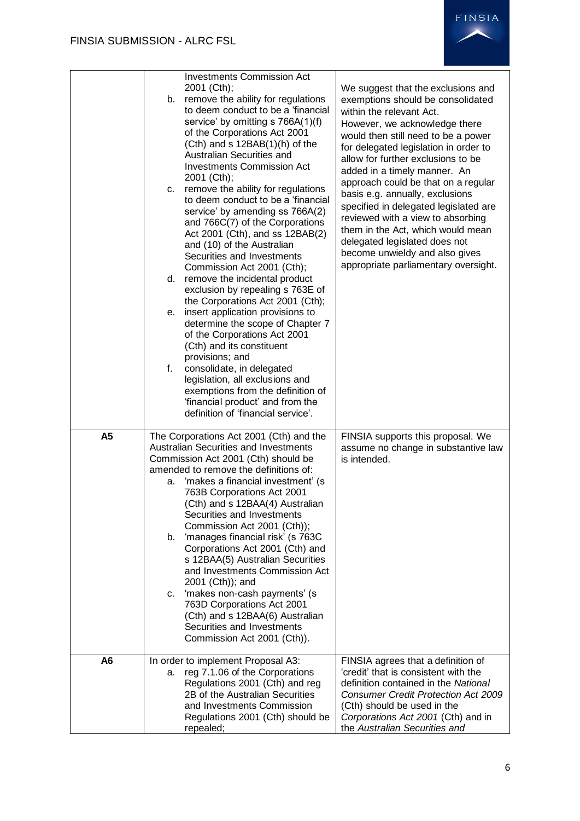

|                | <b>Investments Commission Act</b><br>2001 (Cth);<br>b. remove the ability for regulations<br>to deem conduct to be a 'financial<br>service' by omitting s 766A(1)(f)<br>of the Corporations Act 2001<br>$(Cth)$ and s 12BAB $(1)(h)$ of the<br>Australian Securities and<br><b>Investments Commission Act</b><br>2001 (Cth);<br>remove the ability for regulations<br>C.<br>to deem conduct to be a 'financial<br>service' by amending ss 766A(2)<br>and 766C(7) of the Corporations<br>Act 2001 (Cth), and ss 12BAB(2)<br>and (10) of the Australian<br>Securities and Investments<br>Commission Act 2001 (Cth);<br>d. remove the incidental product<br>exclusion by repealing s 763E of<br>the Corporations Act 2001 (Cth);<br>insert application provisions to<br>е.<br>determine the scope of Chapter 7<br>of the Corporations Act 2001<br>(Cth) and its constituent<br>provisions; and<br>f.<br>consolidate, in delegated<br>legislation, all exclusions and<br>exemptions from the definition of<br>'financial product' and from the<br>definition of 'financial service'. | We suggest that the exclusions and<br>exemptions should be consolidated<br>within the relevant Act.<br>However, we acknowledge there<br>would then still need to be a power<br>for delegated legislation in order to<br>allow for further exclusions to be<br>added in a timely manner. An<br>approach could be that on a regular<br>basis e.g. annually, exclusions<br>specified in delegated legislated are<br>reviewed with a view to absorbing<br>them in the Act, which would mean<br>delegated legislated does not<br>become unwieldy and also gives<br>appropriate parliamentary oversight. |
|----------------|----------------------------------------------------------------------------------------------------------------------------------------------------------------------------------------------------------------------------------------------------------------------------------------------------------------------------------------------------------------------------------------------------------------------------------------------------------------------------------------------------------------------------------------------------------------------------------------------------------------------------------------------------------------------------------------------------------------------------------------------------------------------------------------------------------------------------------------------------------------------------------------------------------------------------------------------------------------------------------------------------------------------------------------------------------------------------------|----------------------------------------------------------------------------------------------------------------------------------------------------------------------------------------------------------------------------------------------------------------------------------------------------------------------------------------------------------------------------------------------------------------------------------------------------------------------------------------------------------------------------------------------------------------------------------------------------|
| A <sub>5</sub> | The Corporations Act 2001 (Cth) and the<br>Australian Securities and Investments<br>Commission Act 2001 (Cth) should be<br>amended to remove the definitions of:<br>'makes a financial investment' (s<br>а.<br>763B Corporations Act 2001<br>(Cth) and s 12BAA(4) Australian<br>Securities and Investments<br>Commission Act 2001 (Cth));<br>'manages financial risk' (s 763C<br>b.<br>Corporations Act 2001 (Cth) and<br>s 12BAA(5) Australian Securities<br>and Investments Commission Act<br>2001 (Cth)); and<br>'makes non-cash payments' (s<br>C.<br>763D Corporations Act 2001<br>(Cth) and s 12BAA(6) Australian<br>Securities and Investments<br>Commission Act 2001 (Cth)).                                                                                                                                                                                                                                                                                                                                                                                             | FINSIA supports this proposal. We<br>assume no change in substantive law<br>is intended.                                                                                                                                                                                                                                                                                                                                                                                                                                                                                                           |
| A <sub>6</sub> | In order to implement Proposal A3:<br>reg 7.1.06 of the Corporations<br>а.<br>Regulations 2001 (Cth) and reg<br>2B of the Australian Securities<br>and Investments Commission<br>Regulations 2001 (Cth) should be<br>repealed;                                                                                                                                                                                                                                                                                                                                                                                                                                                                                                                                                                                                                                                                                                                                                                                                                                                   | FINSIA agrees that a definition of<br>'credit' that is consistent with the<br>definition contained in the National<br><b>Consumer Credit Protection Act 2009</b><br>(Cth) should be used in the<br>Corporations Act 2001 (Cth) and in<br>the Australian Securities and                                                                                                                                                                                                                                                                                                                             |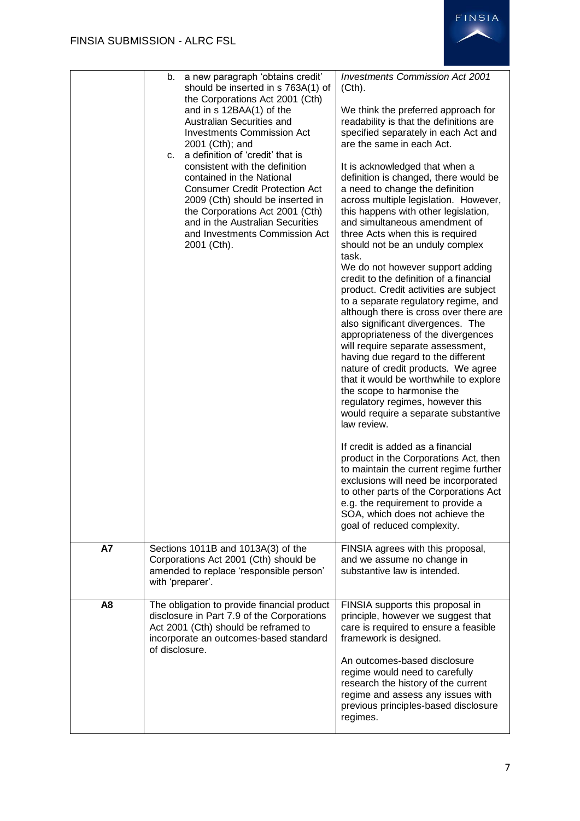

|           | a new paragraph 'obtains credit'<br>b.<br>should be inserted in s 763A(1) of<br>the Corporations Act 2001 (Cth)<br>and in s 12BAA(1) of the<br>Australian Securities and<br><b>Investments Commission Act</b><br>2001 (Cth); and<br>a definition of 'credit' that is<br>C.<br>consistent with the definition<br>contained in the National<br><b>Consumer Credit Protection Act</b><br>2009 (Cth) should be inserted in<br>the Corporations Act 2001 (Cth)<br>and in the Australian Securities<br>and Investments Commission Act<br>2001 (Cth). | <b>Investments Commission Act 2001</b><br>(Cth).<br>We think the preferred approach for<br>readability is that the definitions are<br>specified separately in each Act and<br>are the same in each Act.<br>It is acknowledged that when a<br>definition is changed, there would be<br>a need to change the definition<br>across multiple legislation. However,<br>this happens with other legislation,<br>and simultaneous amendment of<br>three Acts when this is required<br>should not be an unduly complex<br>task.<br>We do not however support adding<br>credit to the definition of a financial<br>product. Credit activities are subject<br>to a separate regulatory regime, and<br>although there is cross over there are<br>also significant divergences. The<br>appropriateness of the divergences<br>will require separate assessment,<br>having due regard to the different<br>nature of credit products. We agree<br>that it would be worthwhile to explore<br>the scope to harmonise the<br>regulatory regimes, however this<br>would require a separate substantive<br>law review.<br>If credit is added as a financial<br>product in the Corporations Act, then<br>to maintain the current regime further<br>exclusions will need be incorporated<br>to other parts of the Corporations Act<br>e.g. the requirement to provide a<br>SOA, which does not achieve the<br>goal of reduced complexity. |
|-----------|------------------------------------------------------------------------------------------------------------------------------------------------------------------------------------------------------------------------------------------------------------------------------------------------------------------------------------------------------------------------------------------------------------------------------------------------------------------------------------------------------------------------------------------------|---------------------------------------------------------------------------------------------------------------------------------------------------------------------------------------------------------------------------------------------------------------------------------------------------------------------------------------------------------------------------------------------------------------------------------------------------------------------------------------------------------------------------------------------------------------------------------------------------------------------------------------------------------------------------------------------------------------------------------------------------------------------------------------------------------------------------------------------------------------------------------------------------------------------------------------------------------------------------------------------------------------------------------------------------------------------------------------------------------------------------------------------------------------------------------------------------------------------------------------------------------------------------------------------------------------------------------------------------------------------------------------------------------------------|
| <b>A7</b> | Sections 1011B and 1013A(3) of the<br>Corporations Act 2001 (Cth) should be<br>amended to replace 'responsible person'<br>with 'preparer'.                                                                                                                                                                                                                                                                                                                                                                                                     | FINSIA agrees with this proposal,<br>and we assume no change in<br>substantive law is intended.                                                                                                                                                                                                                                                                                                                                                                                                                                                                                                                                                                                                                                                                                                                                                                                                                                                                                                                                                                                                                                                                                                                                                                                                                                                                                                                     |
| A8        | The obligation to provide financial product<br>disclosure in Part 7.9 of the Corporations<br>Act 2001 (Cth) should be reframed to<br>incorporate an outcomes-based standard<br>of disclosure.                                                                                                                                                                                                                                                                                                                                                  | FINSIA supports this proposal in<br>principle, however we suggest that<br>care is required to ensure a feasible<br>framework is designed.<br>An outcomes-based disclosure<br>regime would need to carefully<br>research the history of the current<br>regime and assess any issues with<br>previous principles-based disclosure<br>regimes.                                                                                                                                                                                                                                                                                                                                                                                                                                                                                                                                                                                                                                                                                                                                                                                                                                                                                                                                                                                                                                                                         |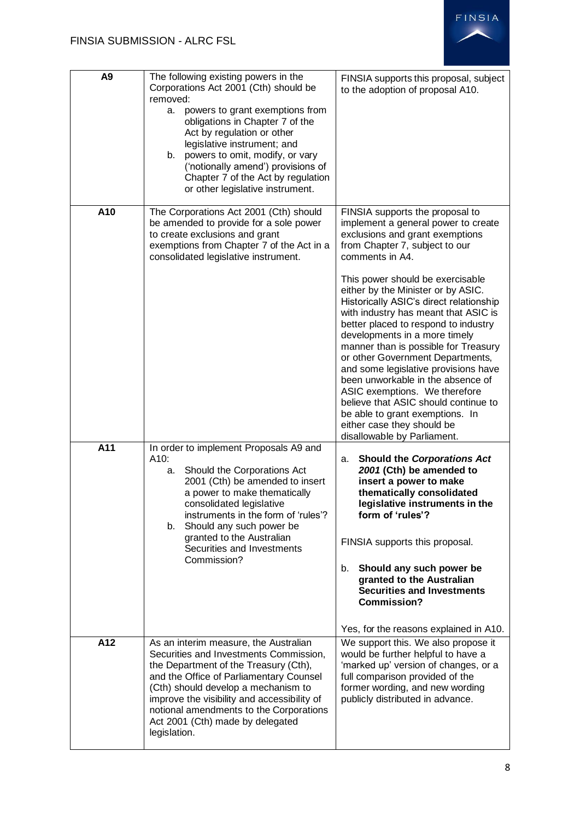

| A <sub>9</sub> | The following existing powers in the<br>Corporations Act 2001 (Cth) should be<br>removed:<br>powers to grant exemptions from<br>а.<br>obligations in Chapter 7 of the<br>Act by regulation or other<br>legislative instrument; and<br>powers to omit, modify, or vary<br>b.<br>('notionally amend') provisions of<br>Chapter 7 of the Act by regulation<br>or other legislative instrument. | FINSIA supports this proposal, subject<br>to the adoption of proposal A10.                                                                                                                                                                                                                                                                                                                                                                                                                                                                                                                                                                                                                                                             |
|----------------|---------------------------------------------------------------------------------------------------------------------------------------------------------------------------------------------------------------------------------------------------------------------------------------------------------------------------------------------------------------------------------------------|----------------------------------------------------------------------------------------------------------------------------------------------------------------------------------------------------------------------------------------------------------------------------------------------------------------------------------------------------------------------------------------------------------------------------------------------------------------------------------------------------------------------------------------------------------------------------------------------------------------------------------------------------------------------------------------------------------------------------------------|
| A10            | The Corporations Act 2001 (Cth) should<br>be amended to provide for a sole power<br>to create exclusions and grant<br>exemptions from Chapter 7 of the Act in a<br>consolidated legislative instrument.                                                                                                                                                                                     | FINSIA supports the proposal to<br>implement a general power to create<br>exclusions and grant exemptions<br>from Chapter 7, subject to our<br>comments in A4.<br>This power should be exercisable<br>either by the Minister or by ASIC.<br>Historically ASIC's direct relationship<br>with industry has meant that ASIC is<br>better placed to respond to industry<br>developments in a more timely<br>manner than is possible for Treasury<br>or other Government Departments,<br>and some legislative provisions have<br>been unworkable in the absence of<br>ASIC exemptions. We therefore<br>believe that ASIC should continue to<br>be able to grant exemptions. In<br>either case they should be<br>disallowable by Parliament. |
| A11            | In order to implement Proposals A9 and<br>A10:<br>Should the Corporations Act<br>а.<br>2001 (Cth) be amended to insert<br>a power to make thematically<br>consolidated legislative<br>instruments in the form of 'rules'?<br>Should any such power be<br>b.<br>granted to the Australian<br>Securities and Investments<br>Commission?                                                       | <b>Should the Corporations Act</b><br>а.<br>2001 (Cth) be amended to<br>insert a power to make<br>thematically consolidated<br>legislative instruments in the<br>form of 'rules'?<br>FINSIA supports this proposal.<br>b. Should any such power be<br>granted to the Australian<br><b>Securities and Investments</b><br><b>Commission?</b>                                                                                                                                                                                                                                                                                                                                                                                             |
| A12            | As an interim measure, the Australian<br>Securities and Investments Commission,<br>the Department of the Treasury (Cth),<br>and the Office of Parliamentary Counsel<br>(Cth) should develop a mechanism to<br>improve the visibility and accessibility of<br>notional amendments to the Corporations<br>Act 2001 (Cth) made by delegated<br>legislation.                                    | Yes, for the reasons explained in A10.<br>We support this. We also propose it<br>would be further helpful to have a<br>'marked up' version of changes, or a<br>full comparison provided of the<br>former wording, and new wording<br>publicly distributed in advance.                                                                                                                                                                                                                                                                                                                                                                                                                                                                  |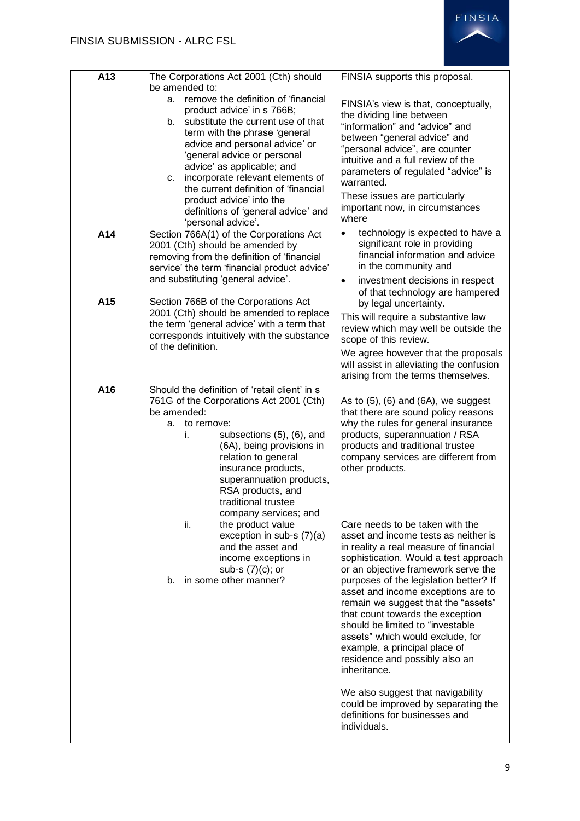

| A13                                                                                                                                                        | The Corporations Act 2001 (Cth) should<br>be amended to:                                                                                                                                                                                                                                                                                                                                                                                                                                                                | FINSIA supports this proposal.                                                                                                                                                                                                                                   |
|------------------------------------------------------------------------------------------------------------------------------------------------------------|-------------------------------------------------------------------------------------------------------------------------------------------------------------------------------------------------------------------------------------------------------------------------------------------------------------------------------------------------------------------------------------------------------------------------------------------------------------------------------------------------------------------------|------------------------------------------------------------------------------------------------------------------------------------------------------------------------------------------------------------------------------------------------------------------|
|                                                                                                                                                            | remove the definition of 'financial<br>а.<br>product advice' in s 766B;<br>substitute the current use of that<br>b.<br>term with the phrase 'general<br>advice and personal advice' or<br>'general advice or personal<br>advice' as applicable; and<br>incorporate relevant elements of<br>c.<br>the current definition of 'financial                                                                                                                                                                                   | FINSIA's view is that, conceptually,<br>the dividing line between<br>"information" and "advice" and<br>between "general advice" and<br>"personal advice", are counter<br>intuitive and a full review of the<br>parameters of regulated "advice" is<br>warranted. |
|                                                                                                                                                            | product advice' into the<br>definitions of 'general advice' and<br>'personal advice'.                                                                                                                                                                                                                                                                                                                                                                                                                                   | These issues are particularly<br>important now, in circumstances<br>where                                                                                                                                                                                        |
| A14                                                                                                                                                        | Section 766A(1) of the Corporations Act<br>2001 (Cth) should be amended by<br>removing from the definition of 'financial<br>service' the term 'financial product advice'<br>and substituting 'general advice'.                                                                                                                                                                                                                                                                                                          | technology is expected to have a<br>$\bullet$<br>significant role in providing<br>financial information and advice<br>in the community and<br>investment decisions in respect<br>$\bullet$                                                                       |
| A15                                                                                                                                                        | Section 766B of the Corporations Act                                                                                                                                                                                                                                                                                                                                                                                                                                                                                    | of that technology are hampered<br>by legal uncertainty.                                                                                                                                                                                                         |
|                                                                                                                                                            | 2001 (Cth) should be amended to replace<br>the term 'general advice' with a term that<br>corresponds intuitively with the substance<br>of the definition.                                                                                                                                                                                                                                                                                                                                                               | This will require a substantive law<br>review which may well be outside the<br>scope of this review.                                                                                                                                                             |
|                                                                                                                                                            |                                                                                                                                                                                                                                                                                                                                                                                                                                                                                                                         | We agree however that the proposals<br>will assist in alleviating the confusion<br>arising from the terms themselves.                                                                                                                                            |
| A16                                                                                                                                                        | Should the definition of 'retail client' in s<br>761G of the Corporations Act 2001 (Cth)<br>be amended:<br>to remove:<br>а.<br>subsections $(5)$ , $(6)$ , and<br>Τ.<br>(6A), being provisions in<br>relation to general<br>insurance products,<br>superannuation products,<br>RSA products, and<br>traditional trustee<br>company services; and                                                                                                                                                                        | As to $(5)$ , $(6)$ and $(6A)$ , we suggest<br>that there are sound policy reasons<br>why the rules for general insurance<br>products, superannuation / RSA<br>products and traditional trustee<br>company services are different from<br>other products.        |
| ii.<br>the product value<br>exception in sub-s $(7)(a)$<br>and the asset and<br>income exceptions in<br>sub-s $(7)(c)$ ; or<br>in some other manner?<br>b. | Care needs to be taken with the<br>asset and income tests as neither is<br>in reality a real measure of financial<br>sophistication. Would a test approach<br>or an objective framework serve the<br>purposes of the legislation better? If<br>asset and income exceptions are to<br>remain we suggest that the "assets"<br>that count towards the exception<br>should be limited to "investable<br>assets" which would exclude, for<br>example, a principal place of<br>residence and possibly also an<br>inheritance. |                                                                                                                                                                                                                                                                  |
|                                                                                                                                                            |                                                                                                                                                                                                                                                                                                                                                                                                                                                                                                                         | We also suggest that navigability<br>could be improved by separating the<br>definitions for businesses and<br>individuals.                                                                                                                                       |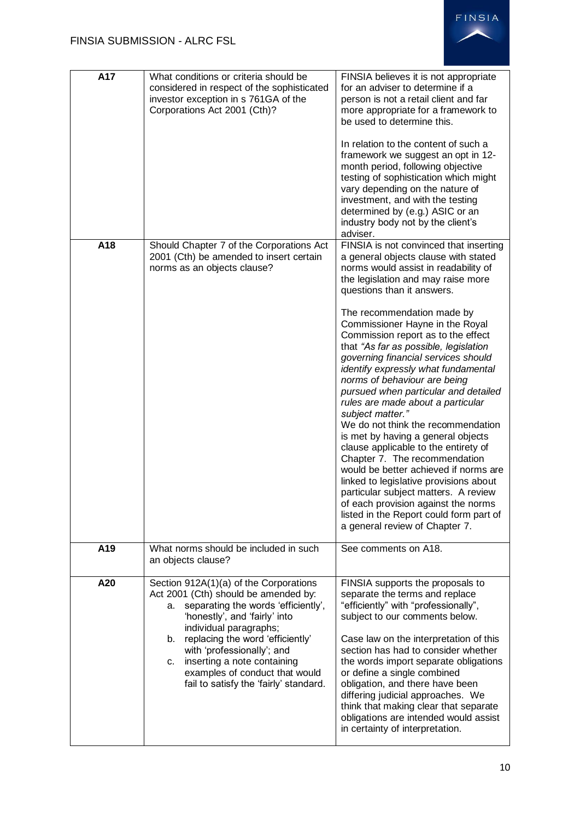

| A17 | What conditions or criteria should be<br>considered in respect of the sophisticated<br>investor exception in s 761GA of the<br>Corporations Act 2001 (Cth)?                                                                                                                                                                                                                     | FINSIA believes it is not appropriate<br>for an adviser to determine if a<br>person is not a retail client and far<br>more appropriate for a framework to<br>be used to determine this.<br>In relation to the content of such a<br>framework we suggest an opt in 12-<br>month period, following objective<br>testing of sophistication which might<br>vary depending on the nature of<br>investment, and with the testing<br>determined by (e.g.) ASIC or an<br>industry body not by the client's<br>adviser.                                                                                                                                                                                                                                                                                                                                                                                                                                                |
|-----|---------------------------------------------------------------------------------------------------------------------------------------------------------------------------------------------------------------------------------------------------------------------------------------------------------------------------------------------------------------------------------|---------------------------------------------------------------------------------------------------------------------------------------------------------------------------------------------------------------------------------------------------------------------------------------------------------------------------------------------------------------------------------------------------------------------------------------------------------------------------------------------------------------------------------------------------------------------------------------------------------------------------------------------------------------------------------------------------------------------------------------------------------------------------------------------------------------------------------------------------------------------------------------------------------------------------------------------------------------|
| A18 | Should Chapter 7 of the Corporations Act<br>2001 (Cth) be amended to insert certain<br>norms as an objects clause?                                                                                                                                                                                                                                                              | FINSIA is not convinced that inserting<br>a general objects clause with stated<br>norms would assist in readability of<br>the legislation and may raise more<br>questions than it answers.<br>The recommendation made by<br>Commissioner Hayne in the Royal<br>Commission report as to the effect<br>that "As far as possible, legislation<br>governing financial services should<br>identify expressly what fundamental<br>norms of behaviour are being<br>pursued when particular and detailed<br>rules are made about a particular<br>subject matter."<br>We do not think the recommendation<br>is met by having a general objects<br>clause applicable to the entirety of<br>Chapter 7. The recommendation<br>would be better achieved if norms are<br>linked to legislative provisions about<br>particular subject matters. A review<br>of each provision against the norms<br>listed in the Report could form part of<br>a general review of Chapter 7. |
| A19 | What norms should be included in such<br>an objects clause?                                                                                                                                                                                                                                                                                                                     | See comments on A18.                                                                                                                                                                                                                                                                                                                                                                                                                                                                                                                                                                                                                                                                                                                                                                                                                                                                                                                                          |
| A20 | Section 912A(1)(a) of the Corporations<br>Act 2001 (Cth) should be amended by:<br>separating the words 'efficiently',<br>а.<br>'honestly', and 'fairly' into<br>individual paragraphs;<br>replacing the word 'efficiently'<br>b.<br>with 'professionally'; and<br>inserting a note containing<br>C.<br>examples of conduct that would<br>fail to satisfy the 'fairly' standard. | FINSIA supports the proposals to<br>separate the terms and replace<br>"efficiently" with "professionally",<br>subject to our comments below.<br>Case law on the interpretation of this<br>section has had to consider whether<br>the words import separate obligations<br>or define a single combined<br>obligation, and there have been<br>differing judicial approaches. We<br>think that making clear that separate<br>obligations are intended would assist<br>in certainty of interpretation.                                                                                                                                                                                                                                                                                                                                                                                                                                                            |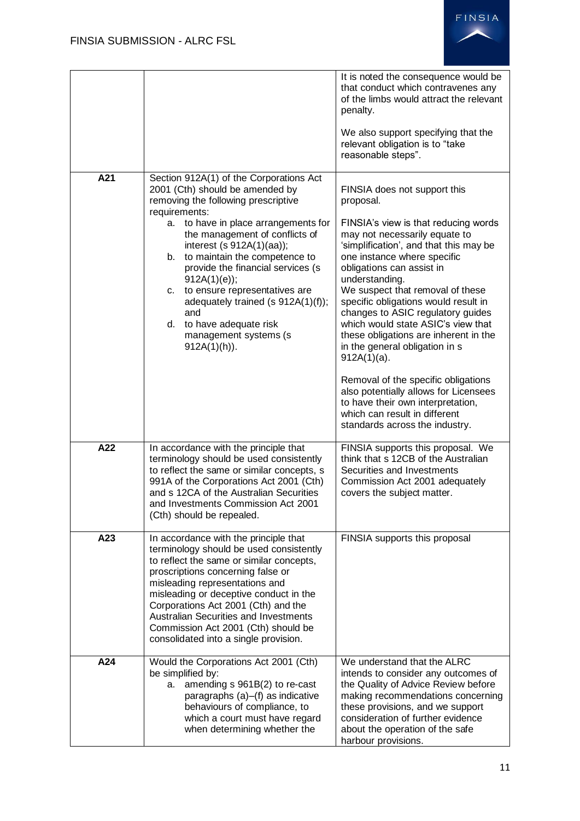

|     |                                                                                                                                                                                                                                                                                                                                                                                                                                                                                                           | It is noted the consequence would be<br>that conduct which contravenes any<br>of the limbs would attract the relevant<br>penalty.<br>We also support specifying that the<br>relevant obligation is to "take                                                                                                                                                                                                                                                                                    |
|-----|-----------------------------------------------------------------------------------------------------------------------------------------------------------------------------------------------------------------------------------------------------------------------------------------------------------------------------------------------------------------------------------------------------------------------------------------------------------------------------------------------------------|------------------------------------------------------------------------------------------------------------------------------------------------------------------------------------------------------------------------------------------------------------------------------------------------------------------------------------------------------------------------------------------------------------------------------------------------------------------------------------------------|
|     |                                                                                                                                                                                                                                                                                                                                                                                                                                                                                                           | reasonable steps".                                                                                                                                                                                                                                                                                                                                                                                                                                                                             |
| A21 | Section 912A(1) of the Corporations Act<br>2001 (Cth) should be amended by<br>removing the following prescriptive<br>requirements:<br>a. to have in place arrangements for<br>the management of conflicts of<br>interest $(s 912A(1)(aa))$ ;<br>to maintain the competence to<br>b.<br>provide the financial services (s<br>$912A(1)(e)$ ;<br>to ensure representatives are<br>c.<br>adequately trained (s $912A(1)(f)$ );<br>and<br>d. to have adequate risk<br>management systems (s<br>$912A(1)(h)$ ). | FINSIA does not support this<br>proposal.<br>FINSIA's view is that reducing words<br>may not necessarily equate to<br>'simplification', and that this may be<br>one instance where specific<br>obligations can assist in<br>understanding.<br>We suspect that removal of these<br>specific obligations would result in<br>changes to ASIC regulatory guides<br>which would state ASIC's view that<br>these obligations are inherent in the<br>in the general obligation in s<br>$912A(1)(a)$ . |
|     |                                                                                                                                                                                                                                                                                                                                                                                                                                                                                                           | Removal of the specific obligations<br>also potentially allows for Licensees<br>to have their own interpretation,<br>which can result in different<br>standards across the industry.                                                                                                                                                                                                                                                                                                           |
| A22 | In accordance with the principle that<br>terminology should be used consistently<br>to reflect the same or similar concepts, s<br>991A of the Corporations Act 2001 (Cth)<br>and s 12CA of the Australian Securities<br>and Investments Commission Act 2001<br>(Cth) should be repealed.                                                                                                                                                                                                                  | FINSIA supports this proposal. We<br>think that s 12CB of the Australian<br>Securities and Investments<br>Commission Act 2001 adequately<br>covers the subject matter.                                                                                                                                                                                                                                                                                                                         |
| A23 | In accordance with the principle that<br>terminology should be used consistently<br>to reflect the same or similar concepts,<br>proscriptions concerning false or<br>misleading representations and<br>misleading or deceptive conduct in the<br>Corporations Act 2001 (Cth) and the<br>Australian Securities and Investments<br>Commission Act 2001 (Cth) should be<br>consolidated into a single provision.                                                                                             | FINSIA supports this proposal                                                                                                                                                                                                                                                                                                                                                                                                                                                                  |
| A24 | Would the Corporations Act 2001 (Cth)<br>be simplified by:<br>amending s 961B(2) to re-cast<br>a.<br>paragraphs (a)–(f) as indicative<br>behaviours of compliance, to<br>which a court must have regard<br>when determining whether the                                                                                                                                                                                                                                                                   | We understand that the ALRC<br>intends to consider any outcomes of<br>the Quality of Advice Review before<br>making recommendations concerning<br>these provisions, and we support<br>consideration of further evidence<br>about the operation of the safe<br>harbour provisions.                                                                                                                                                                                                              |